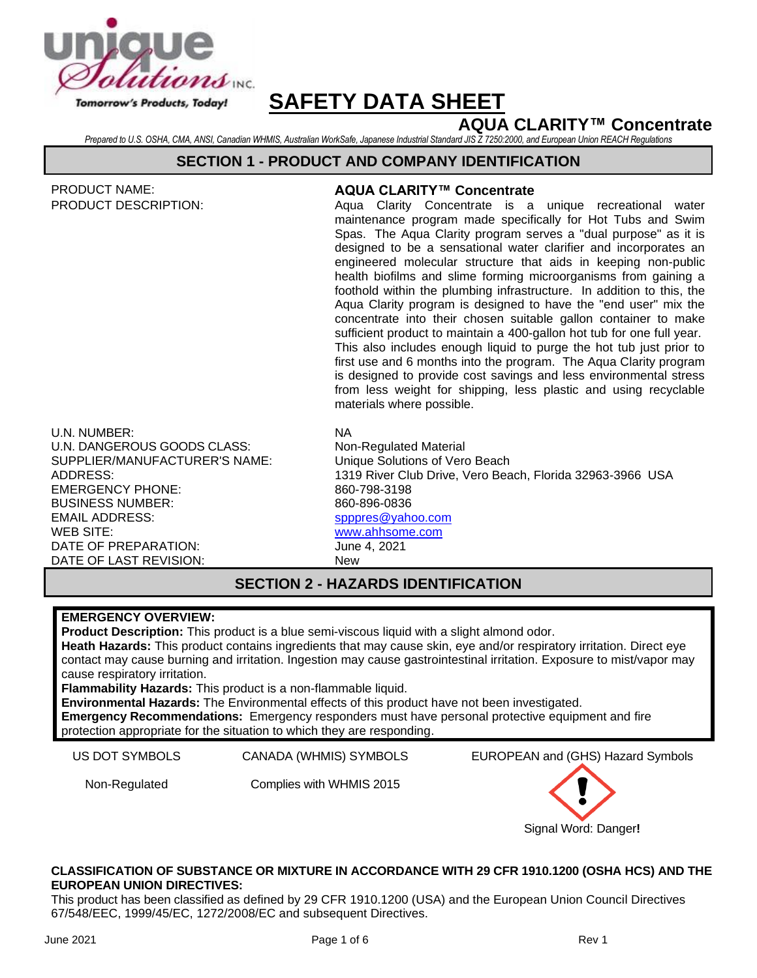

# **AQUA CLARITY™ Concentrate**

*Prepared to U.S. OSHA, CMA, ANSI, Canadian WHMIS, Australian WorkSafe, Japanese Industrial Standard JIS Z 7250:2000, and European Union REACH Regulations*

### **SECTION 1 - PRODUCT AND COMPANY IDENTIFICATION**

| <b>PRODUCT NAME:</b><br><b>PRODUCT DESCRIPTION:</b> | <b>AQUA CLARITY™ Concentrate</b><br>Aqua Clarity Concentrate is a unique recreational<br>water                                            |
|-----------------------------------------------------|-------------------------------------------------------------------------------------------------------------------------------------------|
|                                                     | maintenance program made specifically for Hot Tubs and Swim                                                                               |
|                                                     | Spas. The Aqua Clarity program serves a "dual purpose" as it is                                                                           |
|                                                     | designed to be a sensational water clarifier and incorporates an<br>engineered molecular structure that aids in keeping non-public        |
|                                                     | health biofilms and slime forming microorganisms from gaining a                                                                           |
|                                                     | foothold within the plumbing infrastructure. In addition to this, the                                                                     |
|                                                     | Aqua Clarity program is designed to have the "end user" mix the                                                                           |
|                                                     | concentrate into their chosen suitable gallon container to make<br>sufficient product to maintain a 400-gallon hot tub for one full year. |
|                                                     | This also includes enough liquid to purge the hot tub just prior to                                                                       |
|                                                     | first use and 6 months into the program. The Aqua Clarity program                                                                         |

is designed to provide cost savings and less environmental stress from less weight for shipping, less plastic and using recyclable materials where possible.

U.N. NUMBER: NA U.N. DANGEROUS GOODS CLASS: Non-Regulated Material SUPPLIER/MANUFACTURER'S NAME: Unique Solutions of Vero Beach EMERGENCY PHONE: 860-798-3198 BUSINESS NUMBER: EMAIL ADDRESS: WEB SITE: DATE OF PREPARATION: June 4, 2021 DATE OF LAST REVISION: New

ADDRESS: 1319 River Club Drive, Vero Beach, Florida 32963-3966 USA 860-896-0836 [spppres@yahoo.com](mailto:spppres@yahoo.com) [www.ahhsome.com](http://www.ahhsome.com/)

### **SECTION 2 - HAZARDS IDENTIFICATION**

### **EMERGENCY OVERVIEW:**

**Product Description:** This product is a blue semi-viscous liquid with a slight almond odor. **Heath Hazards:** This product contains ingredients that may cause skin, eye and/or respiratory irritation. Direct eye contact may cause burning and irritation. Ingestion may cause gastrointestinal irritation. Exposure to mist/vapor may cause respiratory irritation. **Flammability Hazards:** This product is a non-flammable liquid.

**Environmental Hazards:** The Environmental effects of this product have not been investigated. **Emergency Recommendations:** Emergency responders must have personal protective equipment and fire protection appropriate for the situation to which they are responding.

Non-Regulated Complies with WHMIS 2015

US DOT SYMBOLS CANADA (WHMIS) SYMBOLS EUROPEAN and (GHS) Hazard Symbols



### **CLASSIFICATION OF SUBSTANCE OR MIXTURE IN ACCORDANCE WITH 29 CFR 1910.1200 (OSHA HCS) AND THE EUROPEAN UNION DIRECTIVES:**

This product has been classified as defined by 29 CFR 1910.1200 (USA) and the European Union Council Directives 67/548/EEC, 1999/45/EC, 1272/2008/EC and subsequent Directives.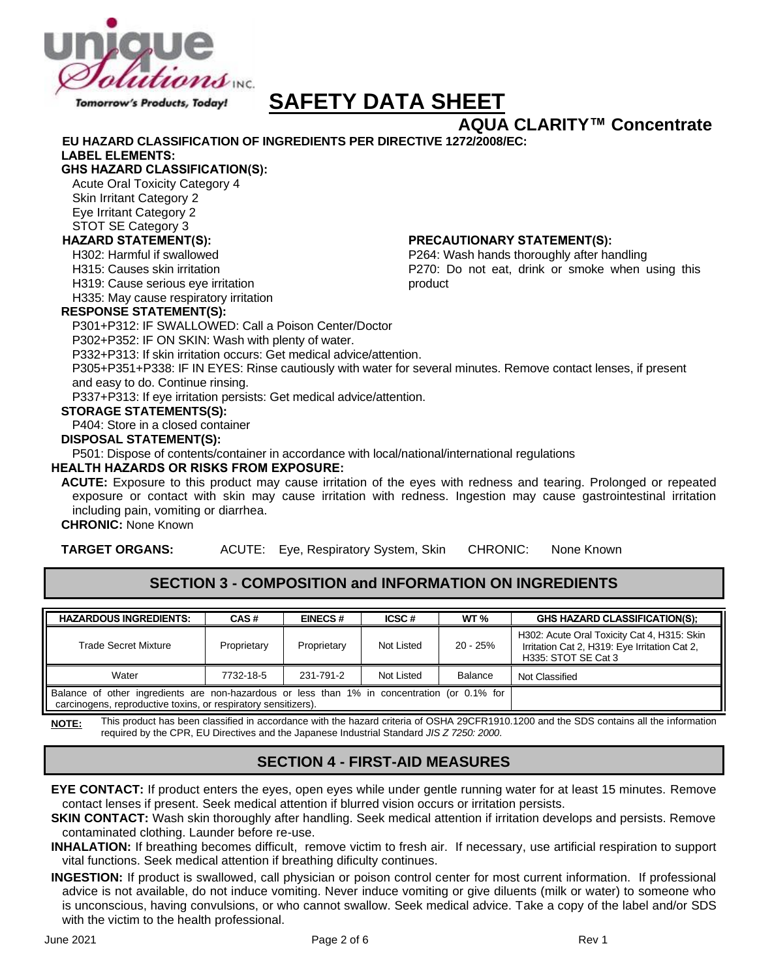

# **AQUA CLARITY™ Concentrate**

P264: Wash hands thoroughly after handling

P270: Do not eat, drink or smoke when using this

**EU HAZARD CLASSIFICATION OF INGREDIENTS PER DIRECTIVE 1272/2008/EC:**

### **LABEL ELEMENTS:**

### **GHS HAZARD CLASSIFICATION(S):**

Acute Oral Toxicity Category 4 Skin Irritant Category 2 Eye Irritant Category 2 STOT SE Category 3

### **HAZARD STATEMENT(S): PRECAUTIONARY STATEMENT(S):**

H302: Harmful if swallowed

H315: Causes skin irritation

H319: Cause serious eye irritation

H335: May cause respiratory irritation

### **RESPONSE STATEMENT(S):**

P301+P312: IF SWALLOWED: Call a Poison Center/Doctor

P302+P352: IF ON SKIN: Wash with plenty of water.

P332+P313: If skin irritation occurs: Get medical advice/attention.

P305+P351+P338: IF IN EYES: Rinse cautiously with water for several minutes. Remove contact lenses, if present and easy to do. Continue rinsing.

product

P337+P313: If eye irritation persists: Get medical advice/attention.

### **STORAGE STATEMENTS(S):**

P404: Store in a closed container

**DISPOSAL STATEMENT(S):**

P501: Dispose of contents/container in accordance with local/national/international regulations

### **HEALTH HAZARDS OR RISKS FROM EXPOSURE:**

**ACUTE:** Exposure to this product may cause irritation of the eyes with redness and tearing. Prolonged or repeated exposure or contact with skin may cause irritation with redness. Ingestion may cause gastrointestinal irritation including pain, vomiting or diarrhea.

### **CHRONIC:** None Known

**TARGET ORGANS:** ACUTE: Eye, Respiratory System, Skin CHRONIC: None Known

# **SECTION 3 - COMPOSITION and INFORMATION ON INGREDIENTS**

| <b>HAZARDOUS INGREDIENTS:</b>                                                                                                                                  | CAS#        | <b>EINECS#</b> | ICSC#      | <b>WT %</b> | <b>GHS HAZARD CLASSIFICATION(S):</b>                                                                                |
|----------------------------------------------------------------------------------------------------------------------------------------------------------------|-------------|----------------|------------|-------------|---------------------------------------------------------------------------------------------------------------------|
| Trade Secret Mixture                                                                                                                                           | Proprietary | Proprietary    | Not Listed | $20 - 25%$  | H302: Acute Oral Toxicity Cat 4, H315: Skin<br>Irritation Cat 2, H319: Eye Irritation Cat 2,<br>H335: STOT SE Cat 3 |
| Water                                                                                                                                                          | 7732-18-5   | 231-791-2      | Not Listed | Balance     | Not Classified                                                                                                      |
| Balance of other ingredients are non-hazardous or less than 1% in concentration (or 0.1% for<br>carcinogens, reproductive toxins, or respiratory sensitizers). |             |                |            |             |                                                                                                                     |

**NOTE:** This product has been classified in accordance with the hazard criteria of OSHA 29CFR1910.1200 and the SDS contains all the information required by the CPR, EU Directives and the Japanese Industrial Standard *JIS Z 7250: 2000*.

# **SECTION 4 - FIRST-AID MEASURES**

**EYE CONTACT:** If product enters the eyes, open eyes while under gentle running water for at least 15 minutes. Remove contact lenses if present. Seek medical attention if blurred vision occurs or irritation persists.

**SKIN CONTACT:** Wash skin thoroughly after handling. Seek medical attention if irritation develops and persists. Remove contaminated clothing. Launder before re-use.

- **INHALATION:** If breathing becomes difficult, remove victim to fresh air. If necessary, use artificial respiration to support vital functions. Seek medical attention if breathing dificulty continues.
- **INGESTION:** If product is swallowed, call physician or poison control center for most current information. If professional advice is not available, do not induce vomiting. Never induce vomiting or give diluents (milk or water) to someone who is unconscious, having convulsions, or who cannot swallow. Seek medical advice. Take a copy of the label and/or SDS with the victim to the health professional.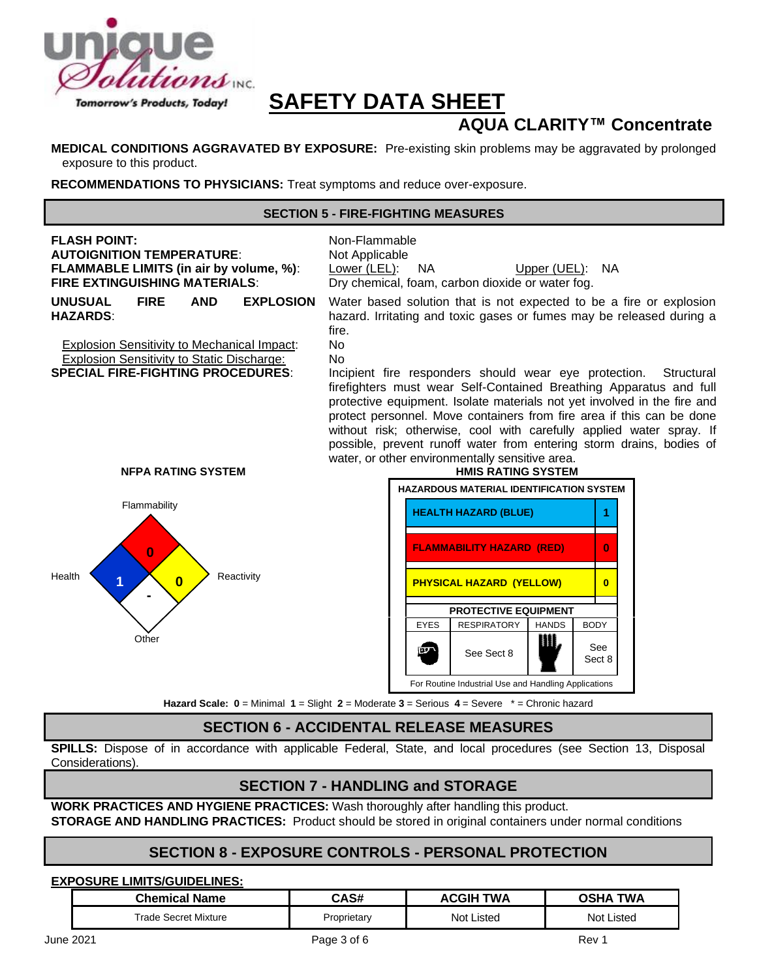

# **AQUA CLARITY™ Concentrate**

**MEDICAL CONDITIONS AGGRAVATED BY EXPOSURE:** Pre-existing skin problems may be aggravated by prolonged exposure to this product.

**RECOMMENDATIONS TO PHYSICIANS:** Treat symptoms and reduce over-exposure.

### **SECTION 5 - FIRE-FIGHTING MEASURES**



### **SECTION 6 - ACCIDENTAL RELEASE MEASURES**

**SPILLS:** Dispose of in accordance with applicable Federal, State, and local procedures (see Section 13, Disposal Considerations).

### **SECTION 7 - HANDLING and STORAGE**

**WORK PRACTICES AND HYGIENE PRACTICES:** Wash thoroughly after handling this product. **STORAGE AND HANDLING PRACTICES:** Product should be stored in original containers under normal conditions

### **SECTION 8 - EXPOSURE CONTROLS - PERSONAL PROTECTION**

### **EXPOSURE LIMITS/GUIDELINES:**

| <b>Chemical Name</b> | CAS#        | TWA<br>ACGIF      | TWA<br><b>OSH/</b> |
|----------------------|-------------|-------------------|--------------------|
| Trade Secret Mixture | Proprietary | <b>Not Listed</b> | Not Listed         |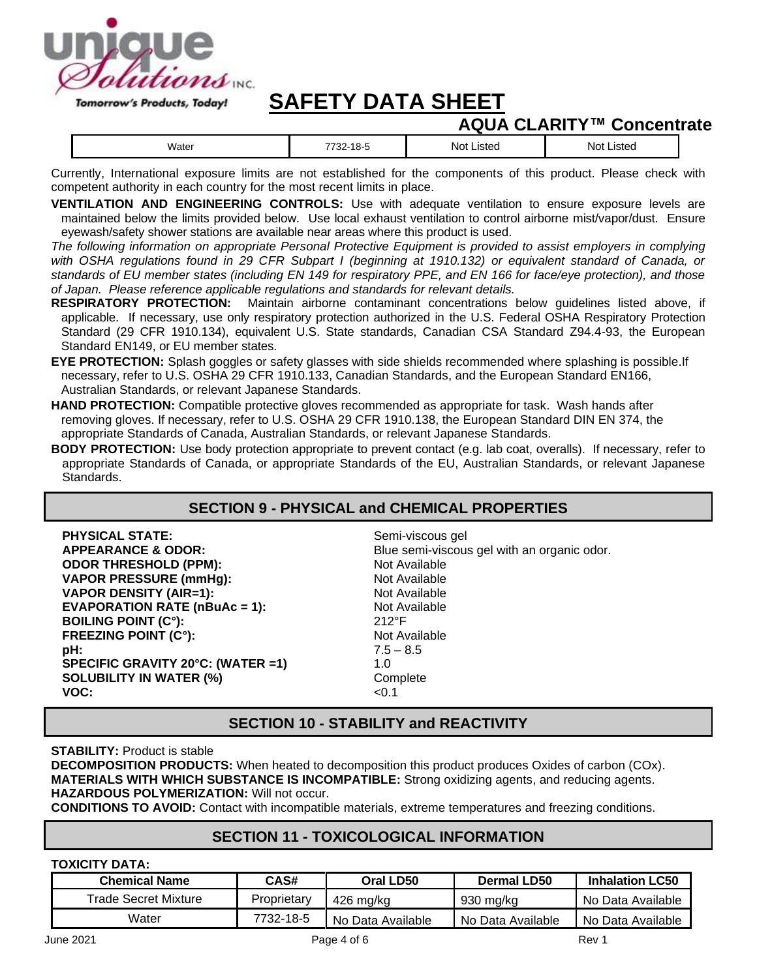

# **AQUA CLARITY™ Concentrate**

| 700<br>Not<br><b>ISTA</b><br><b>IStec</b><br>Water<br>זחרו<br>-סו<br>-521<br>______<br>__<br>.<br>. |
|-----------------------------------------------------------------------------------------------------|
|-----------------------------------------------------------------------------------------------------|

Currently, International exposure limits are not established for the components of this product. Please check with competent authority in each country for the most recent limits in place.

**VENTILATION AND ENGINEERING CONTROLS:** Use with adequate ventilation to ensure exposure levels are maintained below the limits provided below. Use local exhaust ventilation to control airborne mist/vapor/dust. Ensure eyewash/safety shower stations are available near areas where this product is used.

*The following information on appropriate Personal Protective Equipment is provided to assist employers in complying with OSHA regulations found in 29 CFR Subpart I (beginning at 1910.132) or equivalent standard of Canada, or standards of EU member states (including EN 149 for respiratory PPE, and EN 166 for face/eye protection), and those of Japan. Please reference applicable regulations and standards for relevant details.*

- **RESPIRATORY PROTECTION:** Maintain airborne contaminant concentrations below guidelines listed above, if applicable. If necessary, use only respiratory protection authorized in the U.S. Federal OSHA Respiratory Protection Standard (29 CFR 1910.134), equivalent U.S. State standards, Canadian CSA Standard Z94.4-93, the European Standard EN149, or EU member states.
- **EYE PROTECTION:** Splash goggles or safety glasses with side shields recommended where splashing is possible.If necessary, refer to U.S. OSHA 29 CFR 1910.133, Canadian Standards, and the European Standard EN166, Australian Standards, or relevant Japanese Standards.
- **HAND PROTECTION:** Compatible protective gloves recommended as appropriate for task. Wash hands after removing gloves. If necessary, refer to U.S. OSHA 29 CFR 1910.138, the European Standard DIN EN 374, the appropriate Standards of Canada, Australian Standards, or relevant Japanese Standards.
- **BODY PROTECTION:** Use body protection appropriate to prevent contact (e.g. lab coat, overalls). If necessary, refer to appropriate Standards of Canada, or appropriate Standards of the EU, Australian Standards, or relevant Japanese Standards.

### **SECTION 9 - PHYSICAL and CHEMICAL PROPERTIES**

| Semi-viscous gel                            |
|---------------------------------------------|
| Blue semi-viscous gel with an organic odor. |
| Not Available                               |
| Not Available                               |
| Not Available                               |
| Not Available                               |
| $212^{\circ}F$                              |
| Not Available                               |
| $7.5 - 8.5$                                 |
| 1.0                                         |
| Complete                                    |
| < 0.1                                       |
|                                             |

### **SECTION 10 - STABILITY and REACTIVITY**

### **STABILITY:** Product is stable

**DECOMPOSITION PRODUCTS:** When heated to decomposition this product produces Oxides of carbon (COx). **MATERIALS WITH WHICH SUBSTANCE IS INCOMPATIBLE:** Strong oxidizing agents, and reducing agents. **HAZARDOUS POLYMERIZATION:** Will not occur.

**CONDITIONS TO AVOID:** Contact with incompatible materials, extreme temperatures and freezing conditions.

### **SECTION 11 - TOXICOLOGICAL INFORMATION**

### **TOXICITY DATA:**

| <b>Chemical Name</b> | CAS#        | Oral LD50         | Dermal LD50       | <b>Inhalation LC50</b> |
|----------------------|-------------|-------------------|-------------------|------------------------|
| Trade Secret Mixture | Proprietary | 426 ma/ka         | -930 ma/ka        | No Data Available      |
| Water                | 7732-18-5   | No Data Available | No Data Available | No Data Available      |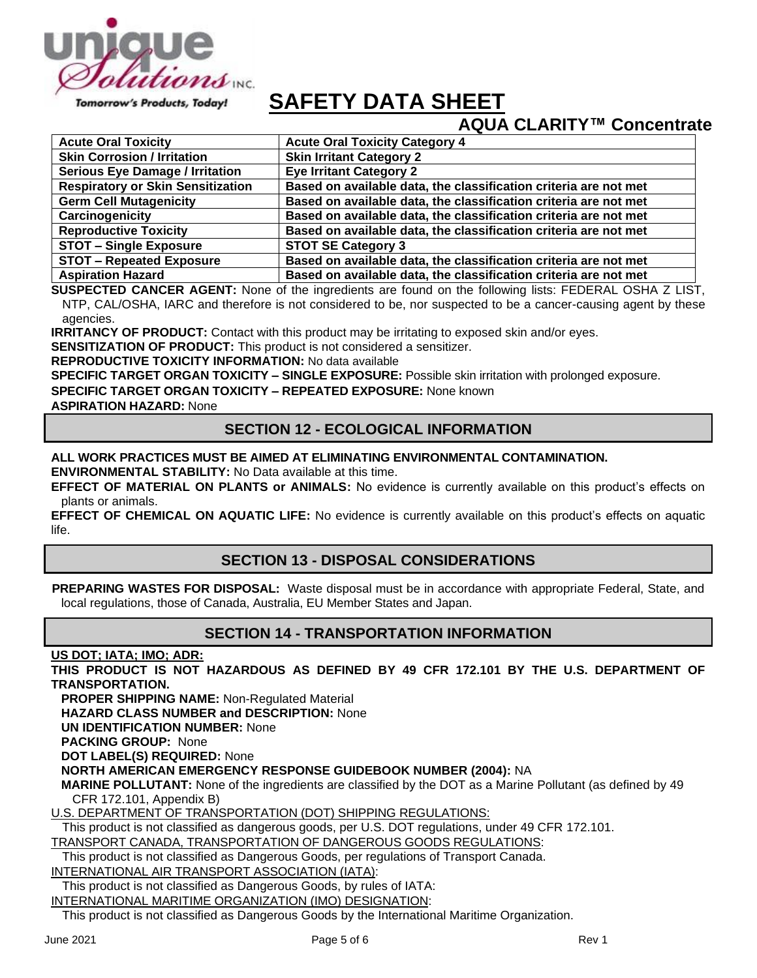

# **AQUA CLARITY™ Concentrate**

| <b>Acute Oral Toxicity</b>               | <b>Acute Oral Toxicity Category 4</b>                            |
|------------------------------------------|------------------------------------------------------------------|
| <b>Skin Corrosion / Irritation</b>       | <b>Skin Irritant Category 2</b>                                  |
| <b>Serious Eye Damage / Irritation</b>   | <b>Eye Irritant Category 2</b>                                   |
| <b>Respiratory or Skin Sensitization</b> | Based on available data, the classification criteria are not met |
| <b>Germ Cell Mutagenicity</b>            | Based on available data, the classification criteria are not met |
| Carcinogenicity                          | Based on available data, the classification criteria are not met |
| <b>Reproductive Toxicity</b>             | Based on available data, the classification criteria are not met |
| <b>STOT - Single Exposure</b>            | <b>STOT SE Category 3</b>                                        |
| <b>STOT - Repeated Exposure</b>          | Based on available data, the classification criteria are not met |
| <b>Aspiration Hazard</b>                 | Based on available data, the classification criteria are not met |

**SUSPECTED CANCER AGENT:** None of the ingredients are found on the following lists: FEDERAL OSHA Z LIST, NTP, CAL/OSHA, IARC and therefore is not considered to be, nor suspected to be a cancer-causing agent by these agencies.

**IRRITANCY OF PRODUCT:** Contact with this product may be irritating to exposed skin and/or eyes.

**SENSITIZATION OF PRODUCT:** This product is not considered a sensitizer.

**REPRODUCTIVE TOXICITY INFORMATION:** No data available

**SPECIFIC TARGET ORGAN TOXICITY – SINGLE EXPOSURE:** Possible skin irritation with prolonged exposure.

**SPECIFIC TARGET ORGAN TOXICITY – REPEATED EXPOSURE:** None known

**ASPIRATION HAZARD:** None

### **SECTION 12 - ECOLOGICAL INFORMATION**

### **ALL WORK PRACTICES MUST BE AIMED AT ELIMINATING ENVIRONMENTAL CONTAMINATION.**

**ENVIRONMENTAL STABILITY:** No Data available at this time.

**EFFECT OF MATERIAL ON PLANTS or ANIMALS:** No evidence is currently available on this product's effects on plants or animals.

**EFFECT OF CHEMICAL ON AQUATIC LIFE:** No evidence is currently available on this product's effects on aquatic life.

### **SECTION 13 - DISPOSAL CONSIDERATIONS**

**PREPARING WASTES FOR DISPOSAL:** Waste disposal must be in accordance with appropriate Federal, State, and local regulations, those of Canada, Australia, EU Member States and Japan.

### **SECTION 14 - TRANSPORTATION INFORMATION**

**US DOT; IATA; IMO; ADR:**

**THIS PRODUCT IS NOT HAZARDOUS AS DEFINED BY 49 CFR 172.101 BY THE U.S. DEPARTMENT OF TRANSPORTATION.**

**PROPER SHIPPING NAME:** Non-Regulated Material

**HAZARD CLASS NUMBER and DESCRIPTION:** None

**UN IDENTIFICATION NUMBER:** None

**PACKING GROUP:** None

**DOT LABEL(S) REQUIRED:** None

**NORTH AMERICAN EMERGENCY RESPONSE GUIDEBOOK NUMBER (2004):** NA

**MARINE POLLUTANT:** None of the ingredients are classified by the DOT as a Marine Pollutant (as defined by 49 CFR 172.101, Appendix B)

U.S. DEPARTMENT OF TRANSPORTATION (DOT) SHIPPING REGULATIONS:

This product is not classified as dangerous goods, per U.S. DOT regulations, under 49 CFR 172.101.

TRANSPORT CANADA, TRANSPORTATION OF DANGEROUS GOODS REGULATIONS:

This product is not classified as Dangerous Goods, per regulations of Transport Canada.

INTERNATIONAL AIR TRANSPORT ASSOCIATION (IATA):

This product is not classified as Dangerous Goods, by rules of IATA:

INTERNATIONAL MARITIME ORGANIZATION (IMO) DESIGNATION:

This product is not classified as Dangerous Goods by the International Maritime Organization.